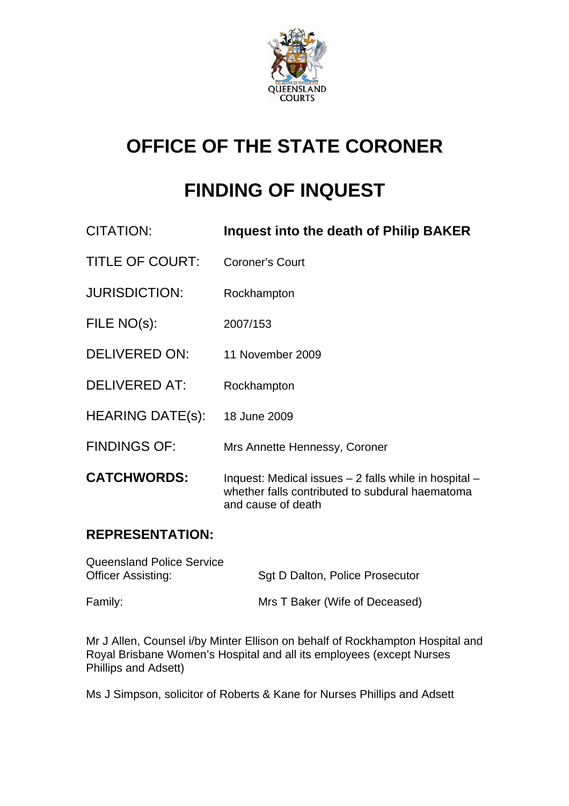

# **OFFICE OF THE STATE CORONER**

## **FINDING OF INQUEST**

| CITATION:               | Inquest into the death of Philip BAKER                                                                                         |
|-------------------------|--------------------------------------------------------------------------------------------------------------------------------|
| <b>TITLE OF COURT:</b>  | <b>Coroner's Court</b>                                                                                                         |
| <b>JURISDICTION:</b>    | Rockhampton                                                                                                                    |
| FILE NO(s):             | 2007/153                                                                                                                       |
| <b>DELIVERED ON:</b>    | 11 November 2009                                                                                                               |
| DELIVERED AT:           | Rockhampton                                                                                                                    |
| <b>HEARING DATE(s):</b> | 18 June 2009                                                                                                                   |
| <b>FINDINGS OF:</b>     | Mrs Annette Hennessy, Coroner                                                                                                  |
| <b>CATCHWORDS:</b>      | Inquest: Medical issues - 2 falls while in hospital -<br>whether falls contributed to subdural haematoma<br>and cause of death |

### **REPRESENTATION:**

| <b>Queensland Police Service</b><br><b>Officer Assisting:</b> | Sgt D Dalton, Police Prosecutor |
|---------------------------------------------------------------|---------------------------------|
| Family:                                                       | Mrs T Baker (Wife of Deceased)  |

Mr J Allen, Counsel i/by Minter Ellison on behalf of Rockhampton Hospital and Royal Brisbane Women's Hospital and all its employees (except Nurses Phillips and Adsett)

Ms J Simpson, solicitor of Roberts & Kane for Nurses Phillips and Adsett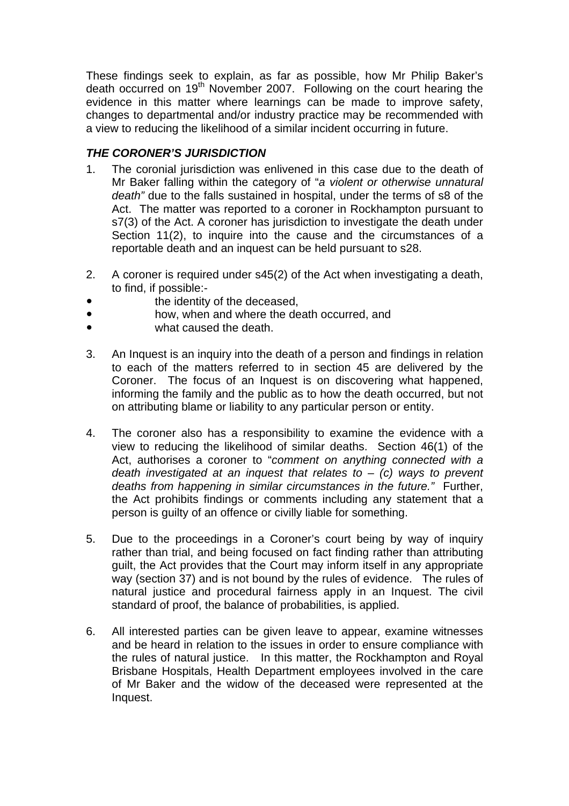These findings seek to explain, as far as possible, how Mr Philip Baker's death occurred on 19<sup>th</sup> November 2007. Following on the court hearing the evidence in this matter where learnings can be made to improve safety, changes to departmental and/or industry practice may be recommended with a view to reducing the likelihood of a similar incident occurring in future.

#### *THE CORONER'S JURISDICTION*

- 1. The coronial jurisdiction was enlivened in this case due to the death of Mr Baker falling within the category of "*a violent or otherwise unnatural death"* due to the falls sustained in hospital, under the terms of s8 of the Act. The matter was reported to a coroner in Rockhampton pursuant to s7(3) of the Act. A coroner has jurisdiction to investigate the death under Section 11(2), to inquire into the cause and the circumstances of a reportable death and an inquest can be held pursuant to s28.
- 2. A coroner is required under s45(2) of the Act when investigating a death, to find, if possible:-
- the identity of the deceased.
- how, when and where the death occurred, and
- what caused the death.
- 3. An Inquest is an inquiry into the death of a person and findings in relation to each of the matters referred to in section 45 are delivered by the Coroner. The focus of an Inquest is on discovering what happened, informing the family and the public as to how the death occurred, but not on attributing blame or liability to any particular person or entity.
- 4. The coroner also has a responsibility to examine the evidence with a view to reducing the likelihood of similar deaths. Section 46(1) of the Act, authorises a coroner to "*comment on anything connected with a death investigated at an inquest that relates to* – *(c) ways to prevent deaths from happening in similar circumstances in the future."* Further, the Act prohibits findings or comments including any statement that a person is guilty of an offence or civilly liable for something.
- 5. Due to the proceedings in a Coroner's court being by way of inquiry rather than trial, and being focused on fact finding rather than attributing guilt, the Act provides that the Court may inform itself in any appropriate way (section 37) and is not bound by the rules of evidence. The rules of natural justice and procedural fairness apply in an Inquest. The civil standard of proof, the balance of probabilities, is applied.
- 6. All interested parties can be given leave to appear, examine witnesses and be heard in relation to the issues in order to ensure compliance with the rules of natural justice. In this matter, the Rockhampton and Royal Brisbane Hospitals, Health Department employees involved in the care of Mr Baker and the widow of the deceased were represented at the Inquest.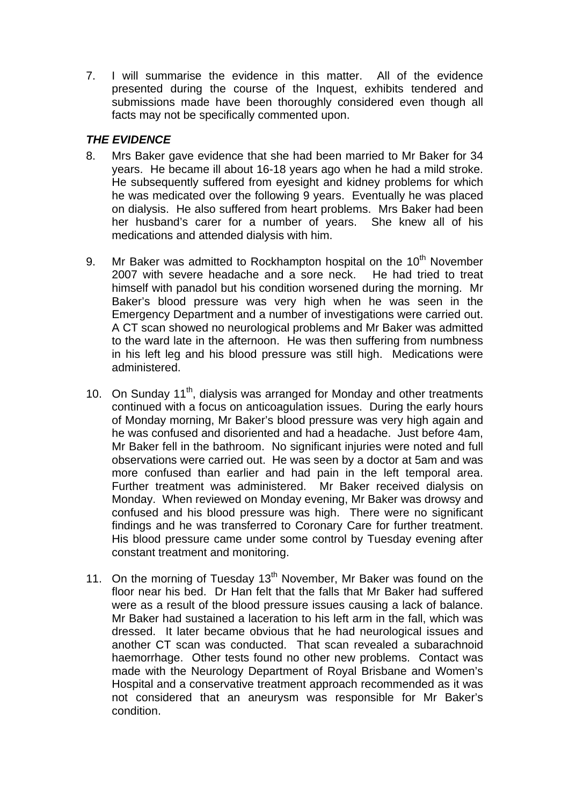7. I will summarise the evidence in this matter. All of the evidence presented during the course of the Inquest, exhibits tendered and submissions made have been thoroughly considered even though all facts may not be specifically commented upon.

### *THE EVIDENCE*

- 8. Mrs Baker gave evidence that she had been married to Mr Baker for 34 years. He became ill about 16-18 years ago when he had a mild stroke. He subsequently suffered from eyesight and kidney problems for which he was medicated over the following 9 years. Eventually he was placed on dialysis. He also suffered from heart problems. Mrs Baker had been her husband's carer for a number of years. She knew all of his medications and attended dialysis with him.
- 9. Mr Baker was admitted to Rockhampton hospital on the  $10<sup>th</sup>$  November 2007 with severe headache and a sore neck. He had tried to treat himself with panadol but his condition worsened during the morning. Mr Baker's blood pressure was very high when he was seen in the Emergency Department and a number of investigations were carried out. A CT scan showed no neurological problems and Mr Baker was admitted to the ward late in the afternoon. He was then suffering from numbness in his left leg and his blood pressure was still high. Medications were administered.
- 10. On Sunday 11<sup>th</sup>, dialysis was arranged for Monday and other treatments continued with a focus on anticoagulation issues. During the early hours of Monday morning, Mr Baker's blood pressure was very high again and he was confused and disoriented and had a headache. Just before 4am, Mr Baker fell in the bathroom. No significant injuries were noted and full observations were carried out. He was seen by a doctor at 5am and was more confused than earlier and had pain in the left temporal area. Further treatment was administered. Mr Baker received dialysis on Monday. When reviewed on Monday evening, Mr Baker was drowsy and confused and his blood pressure was high. There were no significant findings and he was transferred to Coronary Care for further treatment. His blood pressure came under some control by Tuesday evening after constant treatment and monitoring.
- 11. On the morning of Tuesday  $13<sup>th</sup>$  November, Mr Baker was found on the floor near his bed. Dr Han felt that the falls that Mr Baker had suffered were as a result of the blood pressure issues causing a lack of balance. Mr Baker had sustained a laceration to his left arm in the fall, which was dressed. It later became obvious that he had neurological issues and another CT scan was conducted. That scan revealed a subarachnoid haemorrhage. Other tests found no other new problems. Contact was made with the Neurology Department of Royal Brisbane and Women's Hospital and a conservative treatment approach recommended as it was not considered that an aneurysm was responsible for Mr Baker's condition.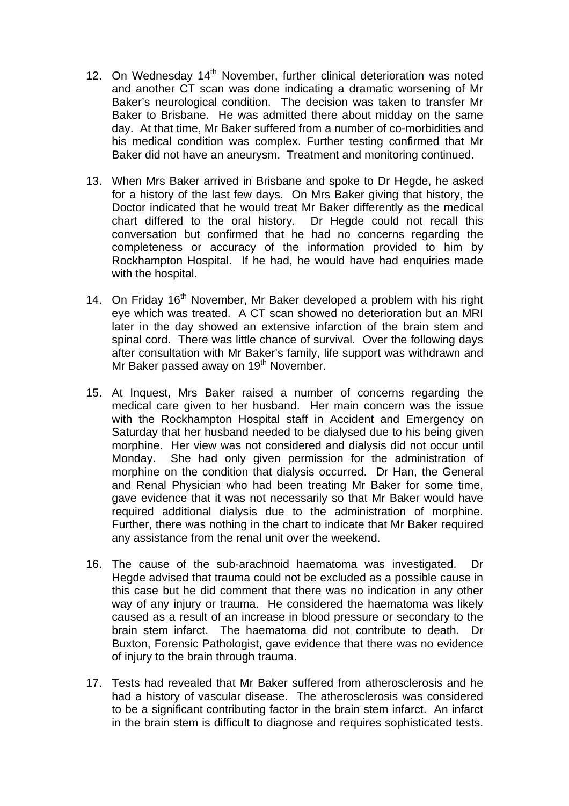- 12. On Wednesday 14<sup>th</sup> November, further clinical deterioration was noted and another CT scan was done indicating a dramatic worsening of Mr Baker's neurological condition. The decision was taken to transfer Mr Baker to Brisbane. He was admitted there about midday on the same day. At that time, Mr Baker suffered from a number of co-morbidities and his medical condition was complex. Further testing confirmed that Mr Baker did not have an aneurysm. Treatment and monitoring continued.
- 13. When Mrs Baker arrived in Brisbane and spoke to Dr Hegde, he asked for a history of the last few days. On Mrs Baker giving that history, the Doctor indicated that he would treat Mr Baker differently as the medical chart differed to the oral history. Dr Hegde could not recall this conversation but confirmed that he had no concerns regarding the completeness or accuracy of the information provided to him by Rockhampton Hospital. If he had, he would have had enquiries made with the hospital.
- 14. On Friday 16<sup>th</sup> November, Mr Baker developed a problem with his right eye which was treated. A CT scan showed no deterioration but an MRI later in the day showed an extensive infarction of the brain stem and spinal cord. There was little chance of survival. Over the following days after consultation with Mr Baker's family, life support was withdrawn and Mr Baker passed away on 19<sup>th</sup> November.
- 15. At Inquest, Mrs Baker raised a number of concerns regarding the medical care given to her husband. Her main concern was the issue with the Rockhampton Hospital staff in Accident and Emergency on Saturday that her husband needed to be dialysed due to his being given morphine. Her view was not considered and dialysis did not occur until Monday. She had only given permission for the administration of morphine on the condition that dialysis occurred. Dr Han, the General and Renal Physician who had been treating Mr Baker for some time, gave evidence that it was not necessarily so that Mr Baker would have required additional dialysis due to the administration of morphine. Further, there was nothing in the chart to indicate that Mr Baker required any assistance from the renal unit over the weekend.
- 16. The cause of the sub-arachnoid haematoma was investigated. Dr Hegde advised that trauma could not be excluded as a possible cause in this case but he did comment that there was no indication in any other way of any injury or trauma. He considered the haematoma was likely caused as a result of an increase in blood pressure or secondary to the brain stem infarct. The haematoma did not contribute to death. Dr Buxton, Forensic Pathologist, gave evidence that there was no evidence of injury to the brain through trauma.
- 17. Tests had revealed that Mr Baker suffered from atherosclerosis and he had a history of vascular disease. The atherosclerosis was considered to be a significant contributing factor in the brain stem infarct. An infarct in the brain stem is difficult to diagnose and requires sophisticated tests.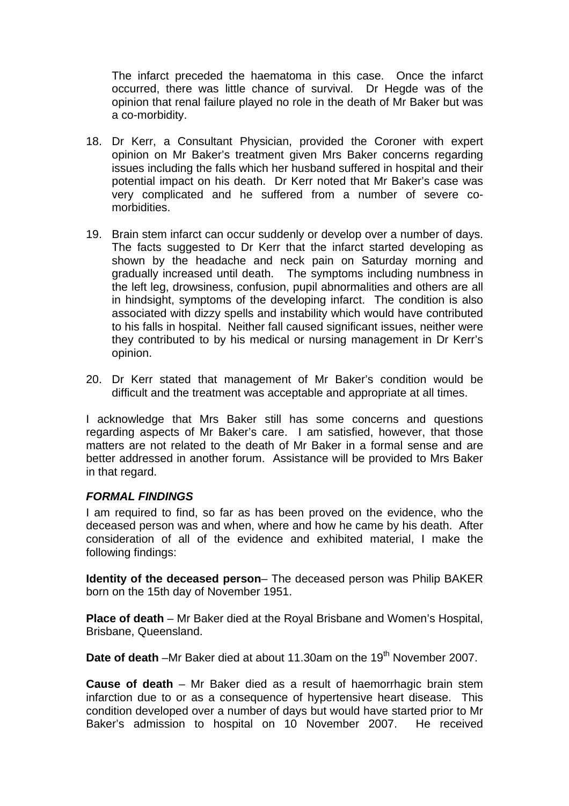The infarct preceded the haematoma in this case. Once the infarct occurred, there was little chance of survival. Dr Hegde was of the opinion that renal failure played no role in the death of Mr Baker but was a co-morbidity.

- 18. Dr Kerr, a Consultant Physician, provided the Coroner with expert opinion on Mr Baker's treatment given Mrs Baker concerns regarding issues including the falls which her husband suffered in hospital and their potential impact on his death. Dr Kerr noted that Mr Baker's case was very complicated and he suffered from a number of severe comorbidities.
- 19. Brain stem infarct can occur suddenly or develop over a number of days. The facts suggested to Dr Kerr that the infarct started developing as shown by the headache and neck pain on Saturday morning and gradually increased until death. The symptoms including numbness in the left leg, drowsiness, confusion, pupil abnormalities and others are all in hindsight, symptoms of the developing infarct. The condition is also associated with dizzy spells and instability which would have contributed to his falls in hospital. Neither fall caused significant issues, neither were they contributed to by his medical or nursing management in Dr Kerr's opinion.
- 20. Dr Kerr stated that management of Mr Baker's condition would be difficult and the treatment was acceptable and appropriate at all times.

I acknowledge that Mrs Baker still has some concerns and questions regarding aspects of Mr Baker's care. I am satisfied, however, that those matters are not related to the death of Mr Baker in a formal sense and are better addressed in another forum. Assistance will be provided to Mrs Baker in that regard.

#### *FORMAL FINDINGS*

I am required to find, so far as has been proved on the evidence, who the deceased person was and when, where and how he came by his death. After consideration of all of the evidence and exhibited material, I make the following findings:

**Identity of the deceased person**– The deceased person was Philip BAKER born on the 15th day of November 1951.

**Place of death** – Mr Baker died at the Royal Brisbane and Women's Hospital, Brisbane, Queensland.

**Date of death** –Mr Baker died at about 11.30am on the 19<sup>th</sup> November 2007.

**Cause of death** – Mr Baker died as a result of haemorrhagic brain stem infarction due to or as a consequence of hypertensive heart disease. This condition developed over a number of days but would have started prior to Mr Baker's admission to hospital on 10 November 2007. He received